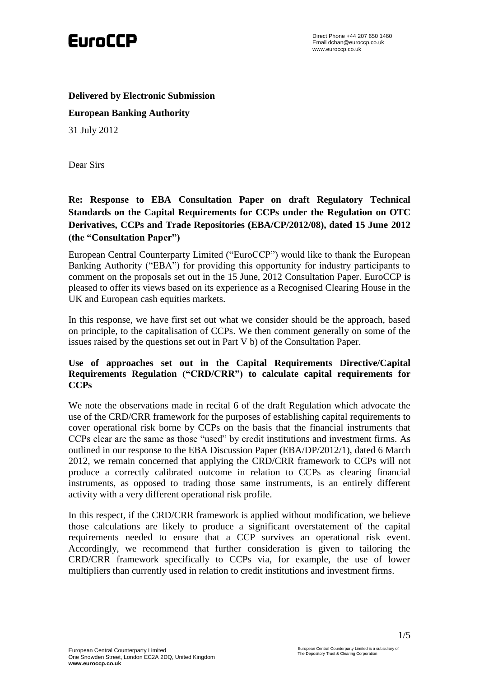

**Delivered by Electronic Submission**

**European Banking Authority**

31 July 2012

Dear Sirs

# **Re: Response to EBA Consultation Paper on draft Regulatory Technical Standards on the Capital Requirements for CCPs under the Regulation on OTC Derivatives, CCPs and Trade Repositories (EBA/CP/2012/08), dated 15 June 2012 (the "Consultation Paper")**

European Central Counterparty Limited ("EuroCCP") would like to thank the European Banking Authority ("EBA") for providing this opportunity for industry participants to comment on the proposals set out in the 15 June, 2012 Consultation Paper. EuroCCP is pleased to offer its views based on its experience as a Recognised Clearing House in the UK and European cash equities markets.

In this response, we have first set out what we consider should be the approach, based on principle, to the capitalisation of CCPs. We then comment generally on some of the issues raised by the questions set out in Part V b) of the Consultation Paper.

### **Use of approaches set out in the Capital Requirements Directive/Capital Requirements Regulation ("CRD/CRR") to calculate capital requirements for CCPs**

We note the observations made in recital 6 of the draft Regulation which advocate the use of the CRD/CRR framework for the purposes of establishing capital requirements to cover operational risk borne by CCPs on the basis that the financial instruments that CCPs clear are the same as those "used" by credit institutions and investment firms. As outlined in our response to the EBA Discussion Paper (EBA/DP/2012/1), dated 6 March 2012, we remain concerned that applying the CRD/CRR framework to CCPs will not produce a correctly calibrated outcome in relation to CCPs as clearing financial instruments, as opposed to trading those same instruments, is an entirely different activity with a very different operational risk profile.

In this respect, if the CRD/CRR framework is applied without modification, we believe those calculations are likely to produce a significant overstatement of the capital requirements needed to ensure that a CCP survives an operational risk event. Accordingly, we recommend that further consideration is given to tailoring the CRD/CRR framework specifically to CCPs via, for example, the use of lower multipliers than currently used in relation to credit institutions and investment firms.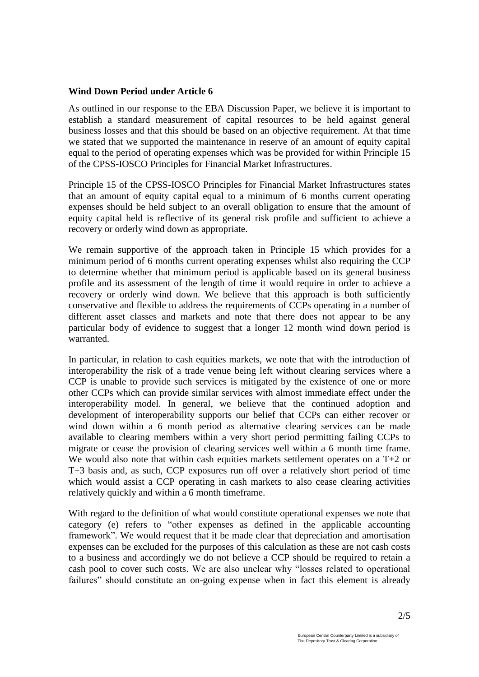#### **Wind Down Period under Article 6**

As outlined in our response to the EBA Discussion Paper, we believe it is important to establish a standard measurement of capital resources to be held against general business losses and that this should be based on an objective requirement. At that time we stated that we supported the maintenance in reserve of an amount of equity capital equal to the period of operating expenses which was be provided for within Principle 15 of the CPSS-IOSCO Principles for Financial Market Infrastructures.

Principle 15 of the CPSS-IOSCO Principles for Financial Market Infrastructures states that an amount of equity capital equal to a minimum of 6 months current operating expenses should be held subject to an overall obligation to ensure that the amount of equity capital held is reflective of its general risk profile and sufficient to achieve a recovery or orderly wind down as appropriate.

We remain supportive of the approach taken in Principle 15 which provides for a minimum period of 6 months current operating expenses whilst also requiring the CCP to determine whether that minimum period is applicable based on its general business profile and its assessment of the length of time it would require in order to achieve a recovery or orderly wind down. We believe that this approach is both sufficiently conservative and flexible to address the requirements of CCPs operating in a number of different asset classes and markets and note that there does not appear to be any particular body of evidence to suggest that a longer 12 month wind down period is warranted.

In particular, in relation to cash equities markets, we note that with the introduction of interoperability the risk of a trade venue being left without clearing services where a CCP is unable to provide such services is mitigated by the existence of one or more other CCPs which can provide similar services with almost immediate effect under the interoperability model. In general, we believe that the continued adoption and development of interoperability supports our belief that CCPs can either recover or wind down within a 6 month period as alternative clearing services can be made available to clearing members within a very short period permitting failing CCPs to migrate or cease the provision of clearing services well within a 6 month time frame. We would also note that within cash equities markets settlement operates on a T+2 or T+3 basis and, as such, CCP exposures run off over a relatively short period of time which would assist a CCP operating in cash markets to also cease clearing activities relatively quickly and within a 6 month timeframe.

With regard to the definition of what would constitute operational expenses we note that category (e) refers to "other expenses as defined in the applicable accounting framework". We would request that it be made clear that depreciation and amortisation expenses can be excluded for the purposes of this calculation as these are not cash costs to a business and accordingly we do not believe a CCP should be required to retain a cash pool to cover such costs. We are also unclear why "losses related to operational failures" should constitute an on-going expense when in fact this element is already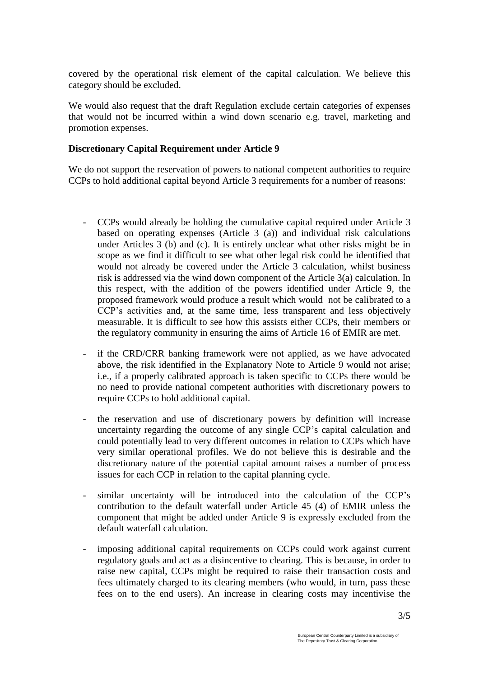covered by the operational risk element of the capital calculation. We believe this category should be excluded.

We would also request that the draft Regulation exclude certain categories of expenses that would not be incurred within a wind down scenario e.g. travel, marketing and promotion expenses.

### **Discretionary Capital Requirement under Article 9**

We do not support the reservation of powers to national competent authorities to require CCPs to hold additional capital beyond Article 3 requirements for a number of reasons:

- CCPs would already be holding the cumulative capital required under Article 3 based on operating expenses (Article 3 (a)) and individual risk calculations under Articles 3 (b) and (c). It is entirely unclear what other risks might be in scope as we find it difficult to see what other legal risk could be identified that would not already be covered under the Article 3 calculation, whilst business risk is addressed via the wind down component of the Article 3(a) calculation. In this respect, with the addition of the powers identified under Article 9, the proposed framework would produce a result which would not be calibrated to a CCP's activities and, at the same time, less transparent and less objectively measurable. It is difficult to see how this assists either CCPs, their members or the regulatory community in ensuring the aims of Article 16 of EMIR are met.
- if the CRD/CRR banking framework were not applied, as we have advocated above, the risk identified in the Explanatory Note to Article 9 would not arise; i.e., if a properly calibrated approach is taken specific to CCPs there would be no need to provide national competent authorities with discretionary powers to require CCPs to hold additional capital.
- the reservation and use of discretionary powers by definition will increase uncertainty regarding the outcome of any single CCP's capital calculation and could potentially lead to very different outcomes in relation to CCPs which have very similar operational profiles. We do not believe this is desirable and the discretionary nature of the potential capital amount raises a number of process issues for each CCP in relation to the capital planning cycle.
- similar uncertainty will be introduced into the calculation of the CCP's contribution to the default waterfall under Article 45 (4) of EMIR unless the component that might be added under Article 9 is expressly excluded from the default waterfall calculation.
- imposing additional capital requirements on CCPs could work against current regulatory goals and act as a disincentive to clearing. This is because, in order to raise new capital, CCPs might be required to raise their transaction costs and fees ultimately charged to its clearing members (who would, in turn, pass these fees on to the end users). An increase in clearing costs may incentivise the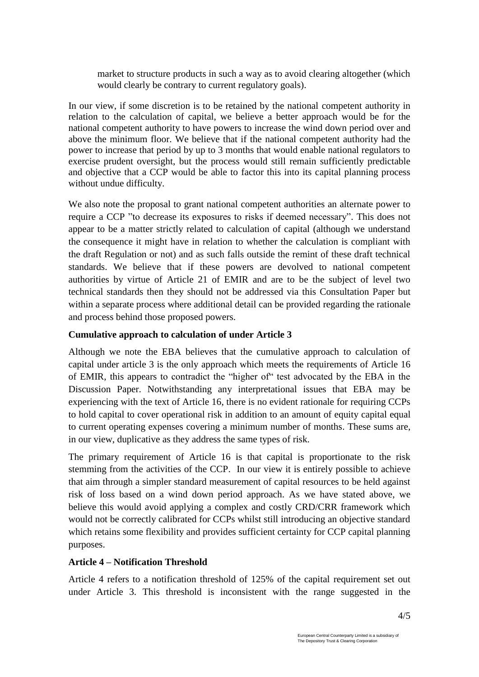market to structure products in such a way as to avoid clearing altogether (which would clearly be contrary to current regulatory goals).

In our view, if some discretion is to be retained by the national competent authority in relation to the calculation of capital, we believe a better approach would be for the national competent authority to have powers to increase the wind down period over and above the minimum floor. We believe that if the national competent authority had the power to increase that period by up to 3 months that would enable national regulators to exercise prudent oversight, but the process would still remain sufficiently predictable and objective that a CCP would be able to factor this into its capital planning process without undue difficulty.

We also note the proposal to grant national competent authorities an alternate power to require a CCP "to decrease its exposures to risks if deemed necessary". This does not appear to be a matter strictly related to calculation of capital (although we understand the consequence it might have in relation to whether the calculation is compliant with the draft Regulation or not) and as such falls outside the remint of these draft technical standards. We believe that if these powers are devolved to national competent authorities by virtue of Article 21 of EMIR and are to be the subject of level two technical standards then they should not be addressed via this Consultation Paper but within a separate process where additional detail can be provided regarding the rationale and process behind those proposed powers.

# **Cumulative approach to calculation of under Article 3**

Although we note the EBA believes that the cumulative approach to calculation of capital under article 3 is the only approach which meets the requirements of Article 16 of EMIR, this appears to contradict the "higher of" test advocated by the EBA in the Discussion Paper. Notwithstanding any interpretational issues that EBA may be experiencing with the text of Article 16, there is no evident rationale for requiring CCPs to hold capital to cover operational risk in addition to an amount of equity capital equal to current operating expenses covering a minimum number of months. These sums are, in our view, duplicative as they address the same types of risk.

The primary requirement of Article 16 is that capital is proportionate to the risk stemming from the activities of the CCP. In our view it is entirely possible to achieve that aim through a simpler standard measurement of capital resources to be held against risk of loss based on a wind down period approach. As we have stated above, we believe this would avoid applying a complex and costly CRD/CRR framework which would not be correctly calibrated for CCPs whilst still introducing an objective standard which retains some flexibility and provides sufficient certainty for CCP capital planning purposes.

# **Article 4 – Notification Threshold**

Article 4 refers to a notification threshold of 125% of the capital requirement set out under Article 3. This threshold is inconsistent with the range suggested in the